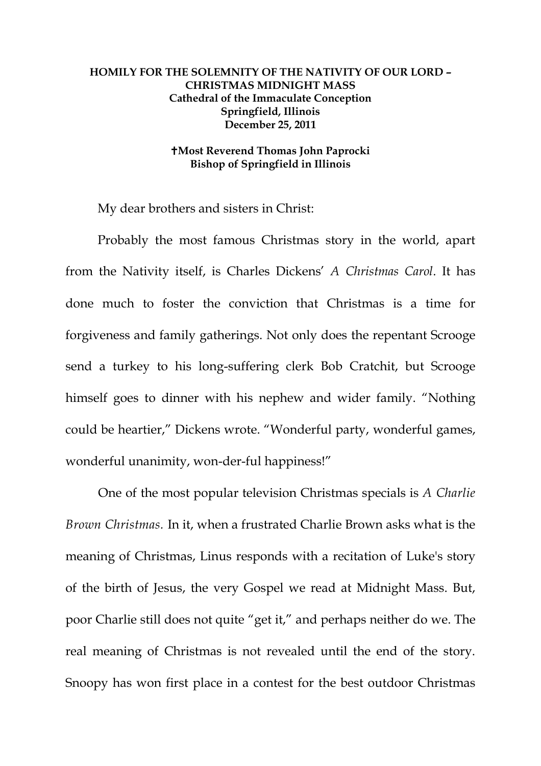## **HOMILY FOR THE SOLEMNITY OF THE NATIVITY OF OUR LORD – CHRISTMAS MIDNIGHT MASS Cathedral of the Immaculate Conception Springfield, Illinois December 25, 2011**

## **Most Reverend Thomas John Paprocki Bishop of Springfield in Illinois**

My dear brothers and sisters in Christ:

Probably the most famous Christmas story in the world, apart from the Nativity itself, is Charles Dickens' *A Christmas Carol*. It has done much to foster the conviction that Christmas is a time for forgiveness and family gatherings. Not only does the repentant Scrooge send a turkey to his long-suffering clerk Bob Cratchit, but Scrooge himself goes to dinner with his nephew and wider family. "Nothing could be heartier," Dickens wrote. "Wonderful party, wonderful games, wonderful unanimity, won-der-ful happiness!"

One of the most popular television Christmas specials is *A Charlie Brown Christmas.* In it, when a frustrated Charlie Brown asks what is the meaning of Christmas, Linus responds with a recitation of Luke's story of the birth of Jesus, the very Gospel we read at Midnight Mass. But, poor Charlie still does not quite "get it," and perhaps neither do we. The real meaning of Christmas is not revealed until the end of the story. Snoopy has won first place in a contest for the best outdoor Christmas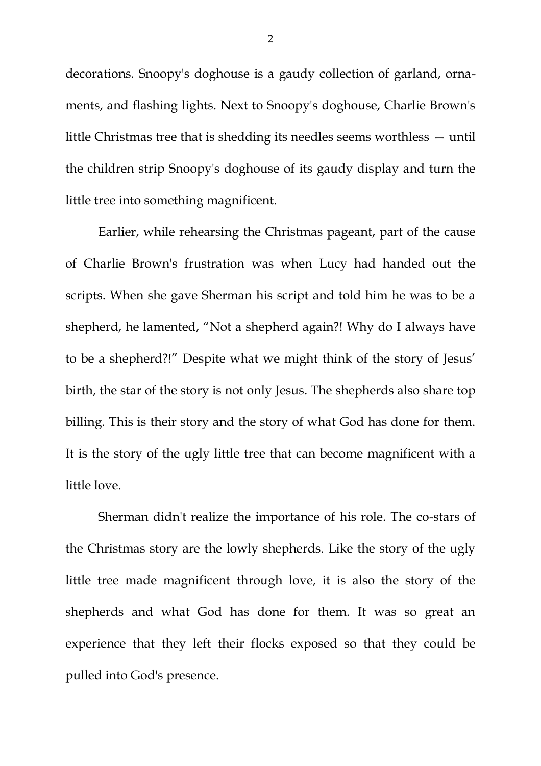decorations. Snoopy's doghouse is a gaudy collection of garland, ornaments, and flashing lights. Next to Snoopy's doghouse, Charlie Brown's little Christmas tree that is shedding its needles seems worthless — until the children strip Snoopy's doghouse of its gaudy display and turn the little tree into something magnificent.

Earlier, while rehearsing the Christmas pageant, part of the cause of Charlie Brown's frustration was when Lucy had handed out the scripts. When she gave Sherman his script and told him he was to be a shepherd, he lamented, "Not a shepherd again?! Why do I always have to be a shepherd?!‖ Despite what we might think of the story of Jesus' birth, the star of the story is not only Jesus. The shepherds also share top billing. This is their story and the story of what God has done for them. It is the story of the ugly little tree that can become magnificent with a little love.

Sherman didn't realize the importance of his role. The co-stars of the Christmas story are the lowly shepherds. Like the story of the ugly little tree made magnificent through love, it is also the story of the shepherds and what God has done for them. It was so great an experience that they left their flocks exposed so that they could be pulled into God's presence.

2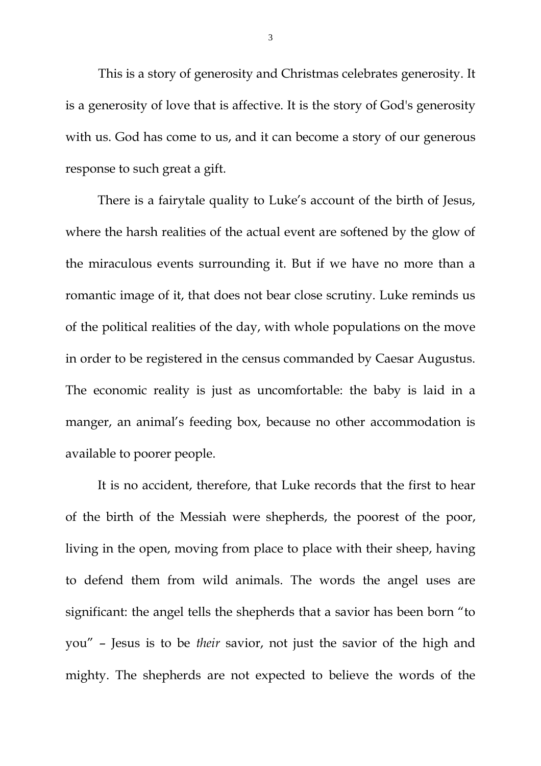This is a story of generosity and Christmas celebrates generosity. It is a generosity of love that is affective. It is the story of God's generosity with us. God has come to us, and it can become a story of our generous response to such great a gift.

There is a fairytale quality to Luke's account of the birth of Jesus, where the harsh realities of the actual event are softened by the glow of the miraculous events surrounding it. But if we have no more than a romantic image of it, that does not bear close scrutiny. Luke reminds us of the political realities of the day, with whole populations on the move in order to be registered in the census commanded by Caesar Augustus. The economic reality is just as uncomfortable: the baby is laid in a manger, an animal's feeding box, because no other accommodation is available to poorer people.

It is no accident, therefore, that Luke records that the first to hear of the birth of the Messiah were shepherds, the poorest of the poor, living in the open, moving from place to place with their sheep, having to defend them from wild animals. The words the angel uses are significant: the angel tells the shepherds that a savior has been born "to you‖ – Jesus is to be *their* savior, not just the savior of the high and mighty. The shepherds are not expected to believe the words of the

3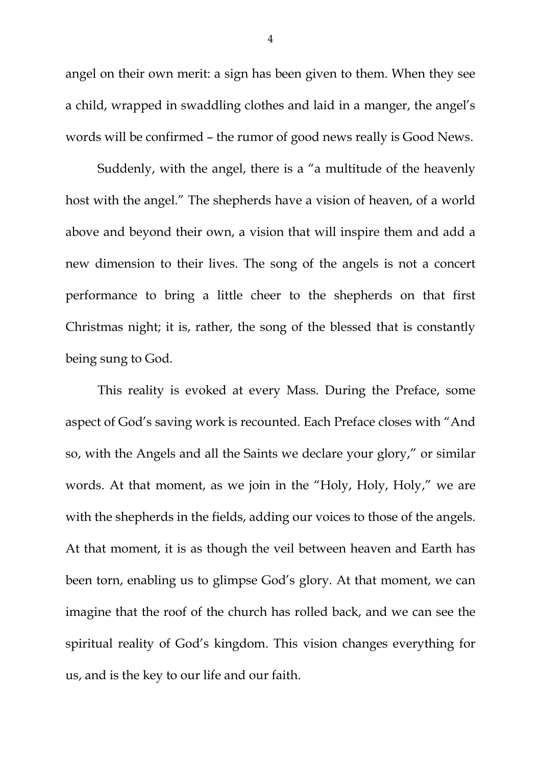angel on their own merit: a sign has been given to them. When they see a child, wrapped in swaddling clothes and laid in a manger, the angel's words will be confirmed – the rumor of good news really is Good News.

Suddenly, with the angel, there is a "a multitude of the heavenly host with the angel." The shepherds have a vision of heaven, of a world above and beyond their own, a vision that will inspire them and add a new dimension to their lives. The song of the angels is not a concert performance to bring a little cheer to the shepherds on that first Christmas night; it is, rather, the song of the blessed that is constantly being sung to God.

This reality is evoked at every Mass. During the Preface, some aspect of God's saving work is recounted. Each Preface closes with "And so, with the Angels and all the Saints we declare your glory," or similar words. At that moment, as we join in the "Holy, Holy, Holy," we are with the shepherds in the fields, adding our voices to those of the angels. At that moment, it is as though the veil between heaven and Earth has been torn, enabling us to glimpse God's glory. At that moment, we can imagine that the roof of the church has rolled back, and we can see the spiritual reality of God's kingdom. This vision changes everything for us, and is the key to our life and our faith.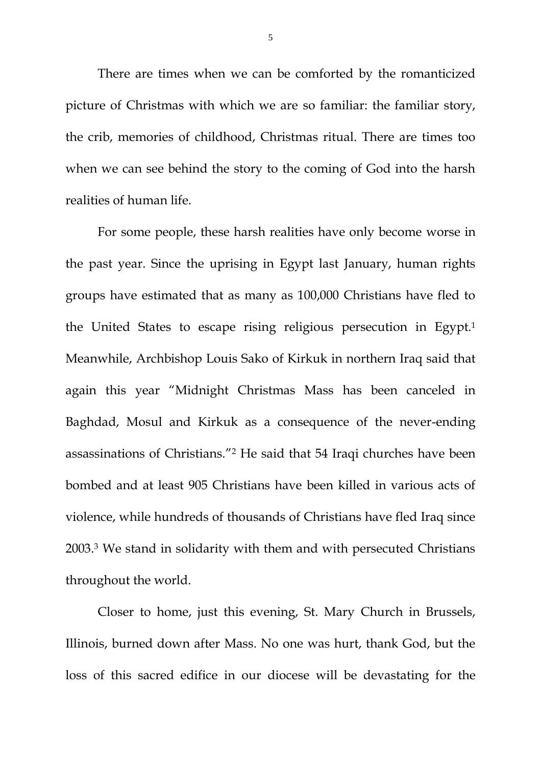There are times when we can be comforted by the romanticized picture of Christmas with which we are so familiar: the familiar story, the crib, memories of childhood, Christmas ritual. There are times too when we can see behind the story to the coming of God into the harsh realities of human life.

For some people, these harsh realities have only become worse in the past year. Since the uprising in Egypt last January, human rights groups have estimated that as many as 100,000 Christians have fled to the United States to escape rising religious persecution in Egypt.<sup>1</sup> Meanwhile, Archbishop Louis Sako of Kirkuk in northern Iraq said that again this year "Midnight Christmas Mass has been canceled in Baghdad, Mosul and Kirkuk as a consequence of the never-ending assassinations of Christians."<sup>2</sup> He said that 54 Iraqi churches have been bombed and at least 905 Christians have been killed in various acts of violence, while hundreds of thousands of Christians have fled Iraq since 2003.<sup>3</sup> We stand in solidarity with them and with persecuted Christians throughout the world.

Closer to home, just this evening, St. Mary Church in Brussels, Illinois, burned down after Mass. No one was hurt, thank God, but the loss of this sacred edifice in our diocese will be devastating for the

5